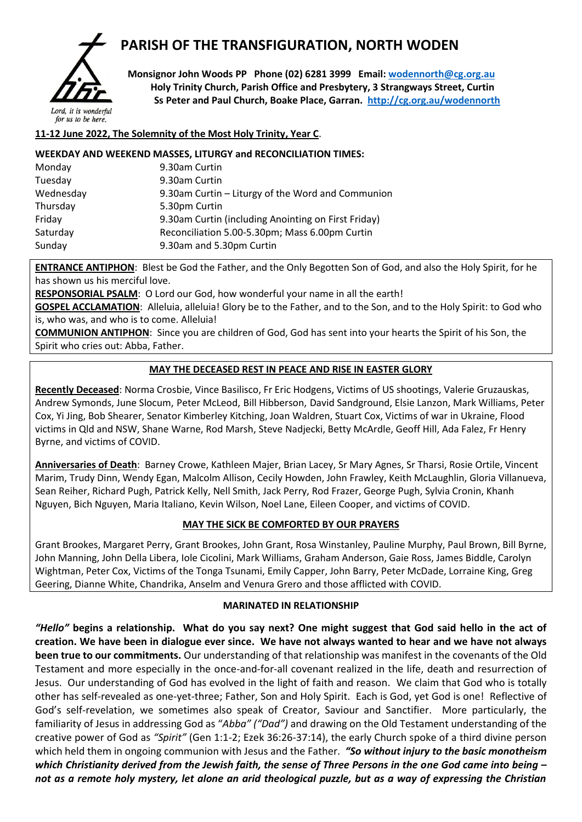

# **PARISH OF THE TRANSFIGURATION, NORTH WODEN**

 **Monsignor John Woods PP Phone (02) 6281 3999 Email: [wodennorth@cg.org.au](mailto:wodennorth@cg.org.au) Holy Trinity Church, Parish Office and Presbytery, 3 Strangways Street, Curtin Ss Peter and Paul Church, Boake Place, Garran. <http://cg.org.au/wodennorth>**

## **11-12 June 2022, The Solemnity of the Most Holy Trinity, Year C**.

#### **WEEKDAY AND WEEKEND MASSES, LITURGY and RECONCILIATION TIMES:**

| Monday    | 9.30am Curtin                                       |
|-----------|-----------------------------------------------------|
| Tuesday   | 9.30am Curtin                                       |
| Wednesday | 9.30am Curtin – Liturgy of the Word and Communion   |
| Thursday  | 5.30pm Curtin                                       |
| Friday    | 9.30am Curtin (including Anointing on First Friday) |
| Saturday  | Reconciliation 5.00-5.30pm; Mass 6.00pm Curtin      |
| Sunday    | 9.30am and 5.30pm Curtin                            |
|           |                                                     |

**ENTRANCE ANTIPHON**: Blest be God the Father, and the Only Begotten Son of God, and also the Holy Spirit, for he has shown us his merciful love.

**RESPONSORIAL PSALM**: O Lord our God, how wonderful your name in all the earth!

**GOSPEL ACCLAMATION:** Alleluia, alleluia! Glory be to the Father, and to the Son, and to the Holy Spirit: to God who is, who was, and who is to come. Alleluia!

**COMMUNION ANTIPHON**: Since you are children of God, God has sent into your hearts the Spirit of his Son, the Spirit who cries out: Abba, Father.

### **MAY THE DECEASED REST IN PEACE AND RISE IN EASTER GLORY**

**Recently Deceased**: Norma Crosbie, Vince Basilisco, Fr Eric Hodgens, Victims of US shootings, Valerie Gruzauskas, Andrew Symonds, June Slocum, Peter McLeod, Bill Hibberson, David Sandground, Elsie Lanzon, Mark Williams, Peter Cox, Yi Jing, Bob Shearer, Senator Kimberley Kitching, Joan Waldren, Stuart Cox, Victims of war in Ukraine, Flood victims in Qld and NSW, Shane Warne, Rod Marsh, Steve Nadjecki, Betty McArdle, Geoff Hill, Ada Falez, Fr Henry Byrne, and victims of COVID.

**Anniversaries of Death**: Barney Crowe, Kathleen Majer, Brian Lacey, Sr Mary Agnes, Sr Tharsi, Rosie Ortile, Vincent Marim, Trudy Dinn, Wendy Egan, Malcolm Allison, Cecily Howden, John Frawley, Keith McLaughlin, Gloria Villanueva, Sean Reiher, Richard Pugh, Patrick Kelly, Nell Smith, Jack Perry, Rod Frazer, George Pugh, Sylvia Cronin, Khanh Nguyen, Bich Nguyen, Maria Italiano, Kevin Wilson, Noel Lane, Eileen Cooper, and victims of COVID.

### **MAY THE SICK BE COMFORTED BY OUR PRAYERS**

Grant Brookes, Margaret Perry, Grant Brookes, John Grant, Rosa Winstanley, Pauline Murphy, Paul Brown, Bill Byrne, John Manning, John Della Libera, Iole Cicolini, Mark Williams, Graham Anderson, Gaie Ross, James Biddle, Carolyn Wightman, Peter Cox, Victims of the Tonga Tsunami, Emily Capper, John Barry, Peter McDade, Lorraine King, Greg Geering, Dianne White, Chandrika, Anselm and Venura Grero and those afflicted with COVID.

#### **MARINATED IN RELATIONSHIP**

*"Hello"* **begins a relationship. What do you say next? One might suggest that God said hello in the act of creation. We have been in dialogue ever since. We have not always wanted to hear and we have not always been true to our commitments.** Our understanding of that relationship was manifest in the covenants of the Old Testament and more especially in the once-and-for-all covenant realized in the life, death and resurrection of Jesus. Our understanding of God has evolved in the light of faith and reason. We claim that God who is totally other has self-revealed as one-yet-three; Father, Son and Holy Spirit. Each is God, yet God is one! Reflective of God's self-revelation, we sometimes also speak of Creator, Saviour and Sanctifier. More particularly, the familiarity of Jesus in addressing God as "*Abba" ("Dad")* and drawing on the Old Testament understanding of the creative power of God as *"Spirit"* (Gen 1:1-2; Ezek 36:26-37:14), the early Church spoke of a third divine person which held them in ongoing communion with Jesus and the Father. *"So without injury to the basic monotheism which Christianity derived from the Jewish faith, the sense of Three Persons in the one God came into being – not as a remote holy mystery, let alone an arid theological puzzle, but as a way of expressing the Christian*